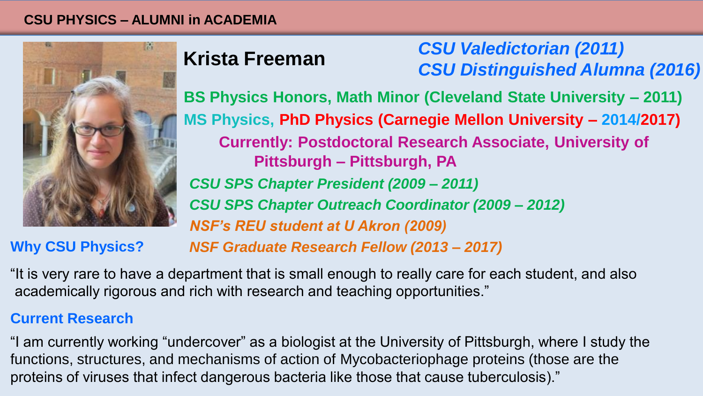#### **CSU PHYSICS – ALUMNI in ACADEMIA**



# **Krista Freeman**

*CSU Valedictorian (2011) CSU Distinguished Alumna (2016)*

**BS Physics Honors, Math Minor (Cleveland State University – 2011) MS Physics, PhD Physics (Carnegie Mellon University – 2014/2017) Currently: Postdoctoral Research Associate, University of Pittsburgh – Pittsburgh, PA** *CSU SPS Chapter President (2009 – 2011) CSU SPS Chapter Outreach Coordinator (2009 – 2012) NSF's REU student at U Akron (2009)*

## **Why CSU Physics?**

*NSF Graduate Research Fellow (2013 – 2017)*

"It is very rare to have a department that is small enough to really care for each student, and also academically rigorous and rich with research and teaching opportunities."

## **Current Research**

"I am currently working "undercover" as a biologist at the University of Pittsburgh, where I study the functions, structures, and mechanisms of action of Mycobacteriophage proteins (those are the proteins of viruses that infect dangerous bacteria like those that cause tuberculosis)."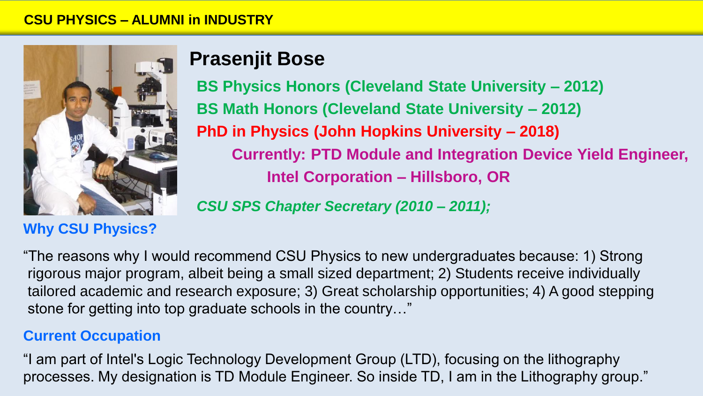

## **Why CSU Physics?**

# **Prasenjit Bose**

**BS Physics Honors (Cleveland State University – 2012) BS Math Honors (Cleveland State University – 2012) PhD in Physics (John Hopkins University – 2018) Currently: PTD Module and Integration Device Yield Engineer, Intel Corporation – Hillsboro, OR** 

*CSU SPS Chapter Secretary (2010 – 2011);*

"The reasons why I would recommend CSU Physics to new undergraduates because: 1) Strong rigorous major program, albeit being a small sized department; 2) Students receive individually tailored academic and research exposure; 3) Great scholarship opportunities; 4) A good stepping stone for getting into top graduate schools in the country…"

## **Current Occupation**

"I am part of Intel's Logic Technology Development Group (LTD), focusing on the lithography processes. My designation is TD Module Engineer. So inside TD, I am in the Lithography group."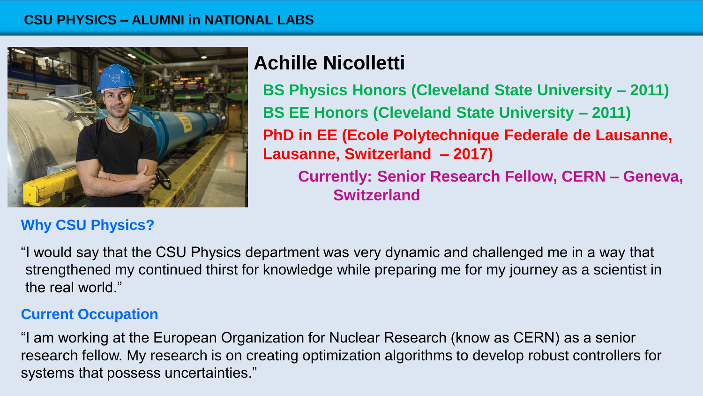

## **Why CSU Physics?**

# **Achille Nicolletti**

**BS Physics Honors (Cleveland State University – 2011) BS EE Honors (Cleveland State University – 2011) PhD in EE (Ecole Polytechnique Federale de Lausanne, Lausanne, Switzerland – 2017)**

**Currently: Senior Research Fellow, CERN – Geneva, Switzerland**

"I would say that the CSU Physics department was very dynamic and challenged me in a way that strengthened my continued thirst for knowledge while preparing me for my journey as a scientist in the real world."

## **Current Occupation**

"I am working at the European Organization for Nuclear Research (know as CERN) as a senior research fellow. My research is on creating optimization algorithms to develop robust controllers for systems that possess uncertainties."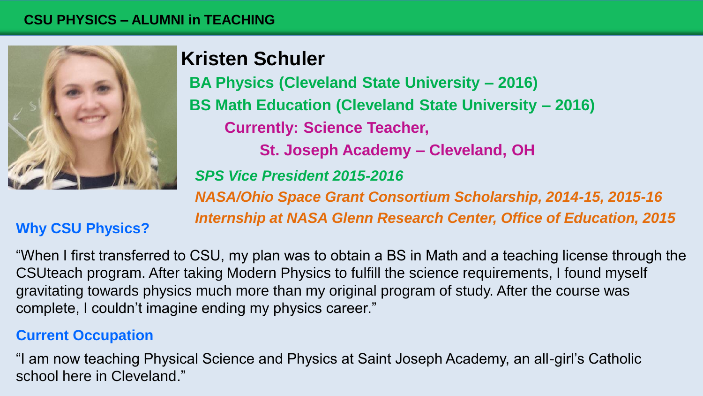#### **CSU PHYSICS – ALUMNI in TEACHING**



# **Kristen Schuler**

**BA Physics (Cleveland State University – 2016) BS Math Education (Cleveland State University – 2016) Currently: Science Teacher, St. Joseph Academy – Cleveland, OH** *SPS Vice President 2015-2016 NASA/Ohio Space Grant Consortium Scholarship, 2014-15, 2015-16 Internship at NASA Glenn Research Center, Office of Education, 2015* 

## **Why CSU Physics?**

"When I first transferred to CSU, my plan was to obtain a BS in Math and a teaching license through the CSUteach program. After taking Modern Physics to fulfill the science requirements, I found myself gravitating towards physics much more than my original program of study. After the course was complete, I couldn't imagine ending my physics career."

## **Current Occupation**

"I am now teaching Physical Science and Physics at Saint Joseph Academy, an all-girl's Catholic school here in Cleveland."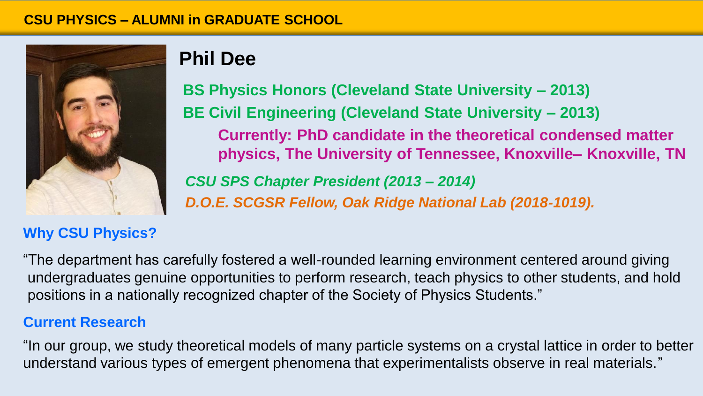

## **Why CSU Physics?**

# **Phil Dee**

**BS Physics Honors (Cleveland State University – 2013) BE Civil Engineering (Cleveland State University – 2013) Currently: PhD candidate in the theoretical condensed matter physics, The University of Tennessee, Knoxville– Knoxville, TN**

*CSU SPS Chapter President (2013 – 2014) D.O.E. SCGSR Fellow, Oak Ridge National Lab (2018-1019).*

"The department has carefully fostered a well-rounded learning environment centered around giving undergraduates genuine opportunities to perform research, teach physics to other students, and hold positions in a nationally recognized chapter of the Society of Physics Students."

## **Current Research**

"In our group, we study theoretical models of many particle systems on a crystal lattice in order to better understand various types of emergent phenomena that experimentalists observe in real materials."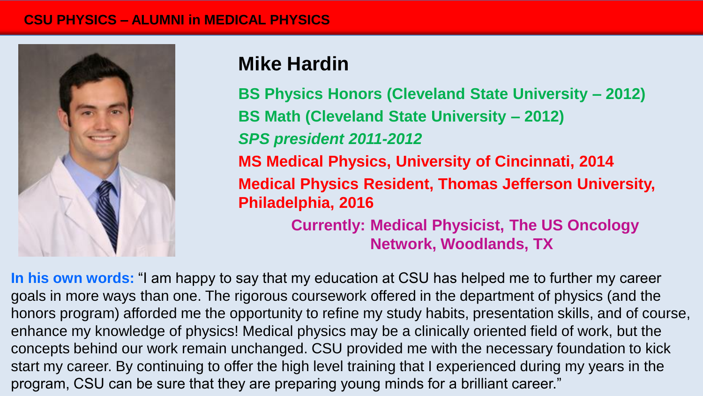#### **CSU PHYSICS – ALUMNI in MEDICAL PHYSICS**



## **Mike Hardin**

**BS Physics Honors (Cleveland State University – 2012) BS Math (Cleveland State University – 2012)** *SPS president 2011-2012*  **MS Medical Physics, University of Cincinnati, 2014 Medical Physics Resident, Thomas Jefferson University, Philadelphia, 2016 Currently: Medical Physicist, The US Oncology** 

**Network, Woodlands, TX**

**In his own words:** "I am happy to say that my education at CSU has helped me to further my career goals in more ways than one. The rigorous coursework offered in the department of physics (and the honors program) afforded me the opportunity to refine my study habits, presentation skills, and of course, enhance my knowledge of physics! Medical physics may be a clinically oriented field of work, but the concepts behind our work remain unchanged. CSU provided me with the necessary foundation to kick start my career. By continuing to offer the high level training that I experienced during my years in the program, CSU can be sure that they are preparing young minds for a brilliant career."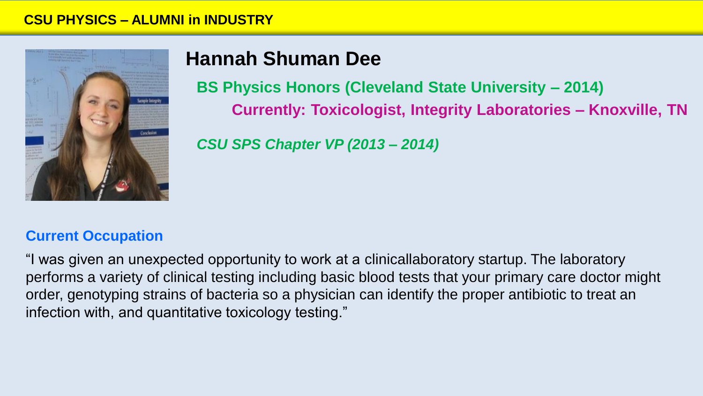

# **Hannah Shuman Dee**

**BS Physics Honors (Cleveland State University – 2014) Currently: Toxicologist, Integrity Laboratories – Knoxville, TN**

*CSU SPS Chapter VP (2013 – 2014)*

### **Current Occupation**

"I was given an unexpected opportunity to work at a clinicallaboratory startup. The laboratory performs a variety of clinical testing including basic blood tests that your primary care doctor might order, genotyping strains of bacteria so a physician can identify the proper antibiotic to treat an infection with, and quantitative toxicology testing."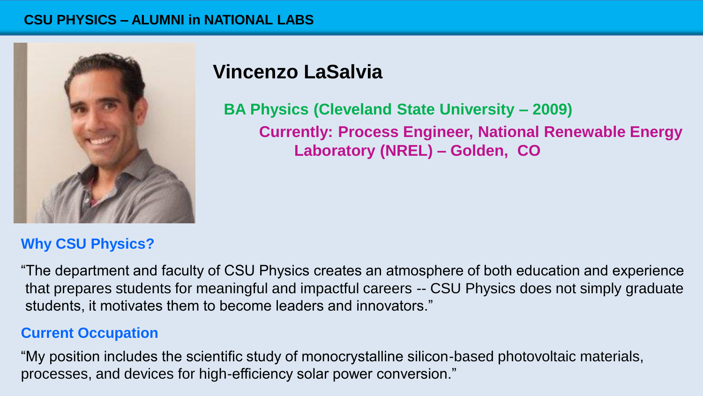#### **CSU PHYSICS – ALUMNI in NATIONAL LABS**



## **Vincenzo LaSalvia**

**BA Physics (Cleveland State University – 2009) Currently: Process Engineer, National Renewable Energy Laboratory (NREL) – Golden, CO** 

## **Why CSU Physics?**

"The department and faculty of CSU Physics creates an atmosphere of both education and experience that prepares students for meaningful and impactful careers -- CSU Physics does not simply graduate students, it motivates them to become leaders and innovators."

### **Current Occupation**

"My position includes the scientific study of monocrystalline silicon-based photovoltaic materials, processes, and devices for high-efficiency solar power conversion."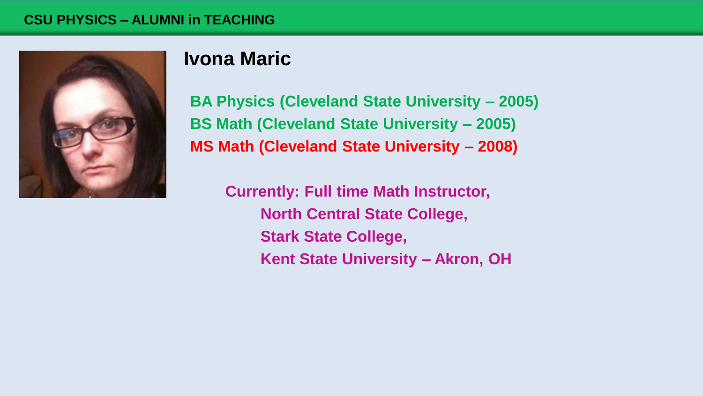

## **Ivona Maric**

**BA Physics (Cleveland State University – 2005) BS Math (Cleveland State University – 2005) MS Math (Cleveland State University – 2008)**

**Currently: Full time Math Instructor, North Central State College, Stark State College, Kent State University – Akron, OH**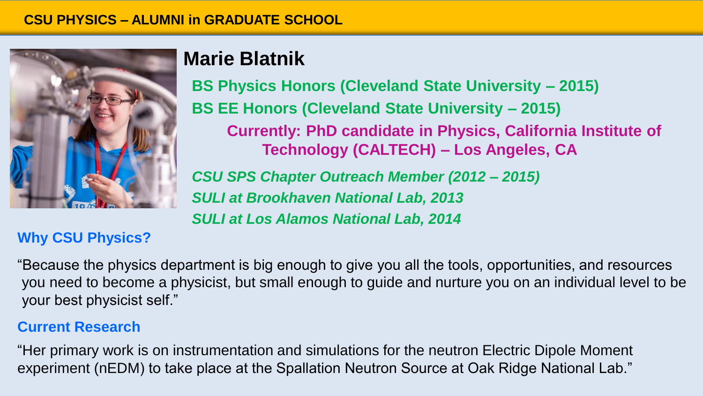

# **Marie Blatnik**

**BS Physics Honors (Cleveland State University – 2015) BS EE Honors (Cleveland State University – 2015) Currently: PhD candidate in Physics, California Institute of Technology (CALTECH) – Los Angeles, CA**  *CSU SPS Chapter Outreach Member (2012 – 2015) SULI at Brookhaven National Lab, 2013 SULI at Los Alamos National Lab, 2014*

## **Why CSU Physics?**

"Because the physics department is big enough to give you all the tools, opportunities, and resources you need to become a physicist, but small enough to guide and nurture you on an individual level to be your best physicist self."

## **Current Research**

"Her primary work is on instrumentation and simulations for the neutron Electric Dipole Moment experiment (nEDM) to take place at the Spallation Neutron Source at Oak Ridge National Lab."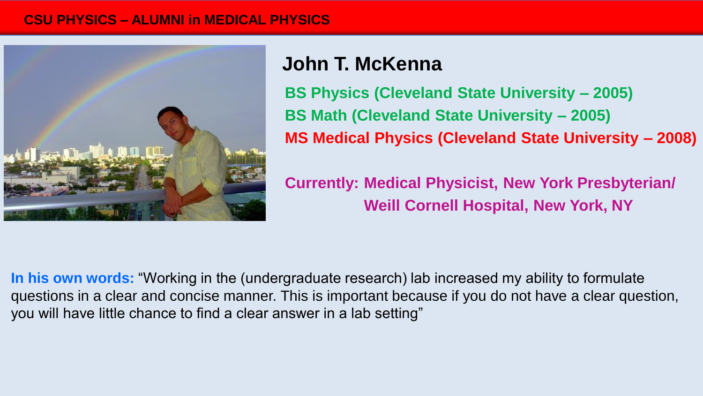#### **CSU PHYSICS – ALUMNI in MEDICAL PHYSICS**



# **John T. McKenna**

**BS Physics (Cleveland State University – 2005) BS Math (Cleveland State University – 2005) MS Medical Physics (Cleveland State University – 2008)**

**Currently: Medical Physicist, New York Presbyterian/ Weill Cornell Hospital, New York, NY**

**In his own words:** "Working in the (undergraduate research) lab increased my ability to formulate questions in a clear and concise manner. This is important because if you do not have a clear question, you will have little chance to find a clear answer in a lab setting"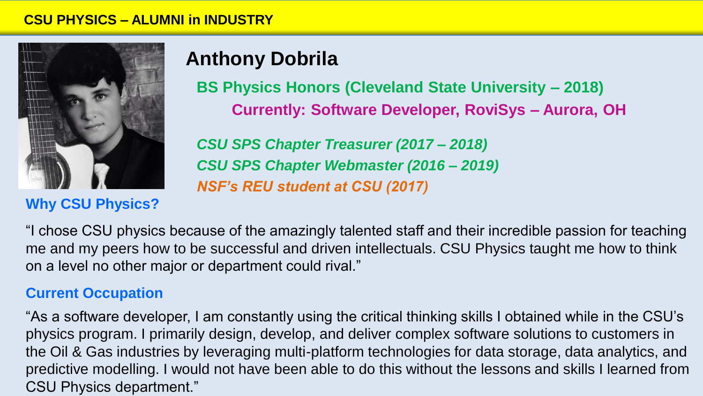

## **Why CSU Physics?**

# **Anthony Dobrila**

**BS Physics Honors (Cleveland State University – 2018) Currently: Software Developer, RoviSys – Aurora, OH**

*CSU SPS Chapter Treasurer (2017 – 2018) CSU SPS Chapter Webmaster (2016 – 2019) NSF's REU student at CSU (2017)*

"I chose CSU physics because of the amazingly talented staff and their incredible passion for teaching me and my peers how to be successful and driven intellectuals. CSU Physics taught me how to think on a level no other major or department could rival."

### **Current Occupation**

"As a software developer, I am constantly using the critical thinking skills I obtained while in the CSU's physics program. I primarily design, develop, and deliver complex software solutions to customers in the Oil & Gas industries by leveraging multi-platform technologies for data storage, data analytics, and predictive modelling. I would not have been able to do this without the lessons and skills I learned from CSU Physics department."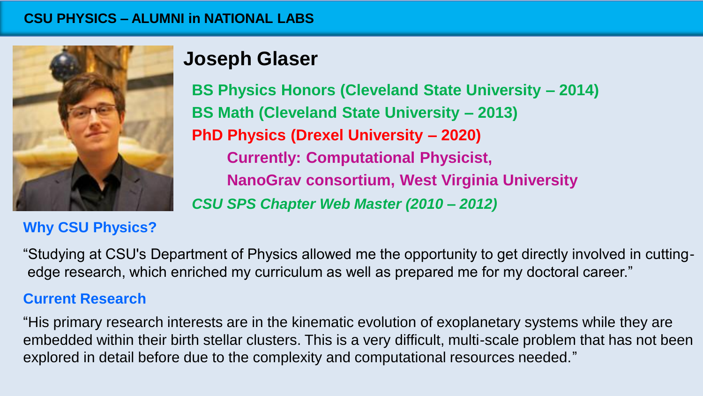#### **CSU PHYSICS – ALUMNI in National Labs CSU PHYSICS – ALUMNI in NATIONAL LABS**



## **Why CSU Physics?**

# **Joseph Glaser**

**BS Physics Honors (Cleveland State University – 2014) BS Math (Cleveland State University – 2013) PhD Physics (Drexel University – 2020) Currently: Computational Physicist, NanoGrav consortium, West Virginia University** *CSU SPS Chapter Web Master (2010 – 2012)*

"Studying at CSU's Department of Physics allowed me the opportunity to get directly involved in cuttingedge research, which enriched my curriculum as well as prepared me for my doctoral career."

### **Current Research**

"His primary research interests are in the kinematic evolution of exoplanetary systems while they are embedded within their birth stellar clusters. This is a very difficult, multi-scale problem that has not been explored in detail before due to the complexity and computational resources needed."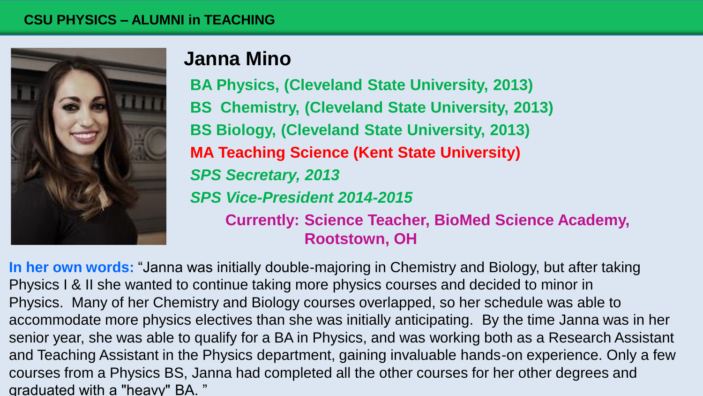#### **CSU PHYSICS – ALUMNI in TEACHING**



## **Janna Mino**

**BA Physics, (Cleveland State University, 2013) BS Chemistry, (Cleveland State University, 2013) BS Biology, (Cleveland State University, 2013) MA Teaching Science (Kent State University)** *SPS Secretary, 2013 SPS Vice-President 2014-2015* **Currently: Science Teacher, BioMed Science Academy, Rootstown, OH** 

**In her own words:** "Janna was initially double-majoring in Chemistry and Biology, but after taking Physics I & II she wanted to continue taking more physics courses and decided to minor in Physics. Many of her Chemistry and Biology courses overlapped, so her schedule was able to accommodate more physics electives than she was initially anticipating. By the time Janna was in her senior year, she was able to qualify for a BA in Physics, and was working both as a Research Assistant and Teaching Assistant in the Physics department, gaining invaluable hands-on experience. Only a few courses from a Physics BS, Janna had completed all the other courses for her other degrees and graduated with a "heavy" BA. "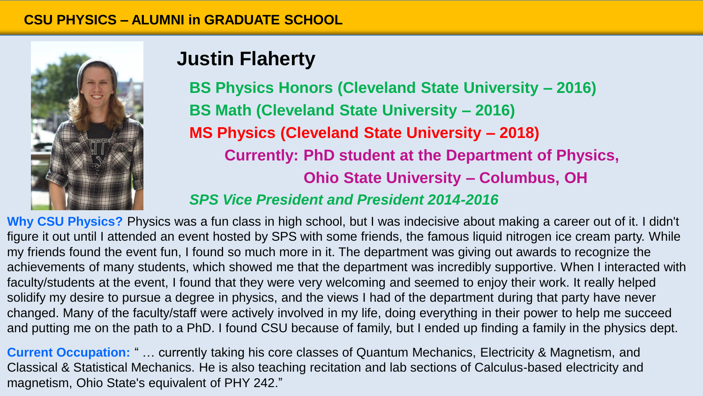

# **Justin Flaherty**

**BS Physics Honors (Cleveland State University – 2016) BS Math (Cleveland State University – 2016) MS Physics (Cleveland State University – 2018) Currently: PhD student at the Department of Physics, Ohio State University – Columbus, OH**

## *SPS Vice President and President 2014-2016*

**Why CSU Physics?** Physics was a fun class in high school, but I was indecisive about making a career out of it. I didn't figure it out until I attended an event hosted by SPS with some friends, the famous liquid nitrogen ice cream party. While my friends found the event fun, I found so much more in it. The department was giving out awards to recognize the achievements of many students, which showed me that the department was incredibly supportive. When I interacted with faculty/students at the event, I found that they were very welcoming and seemed to enjoy their work. It really helped solidify my desire to pursue a degree in physics, and the views I had of the department during that party have never changed. Many of the faculty/staff were actively involved in my life, doing everything in their power to help me succeed and putting me on the path to a PhD. I found CSU because of family, but I ended up finding a family in the physics dept.

**Current Occupation:** " … currently taking his core classes of Quantum Mechanics, Electricity & Magnetism, and Classical & Statistical Mechanics. He is also teaching recitation and lab sections of Calculus-based electricity and magnetism, Ohio State's equivalent of PHY 242."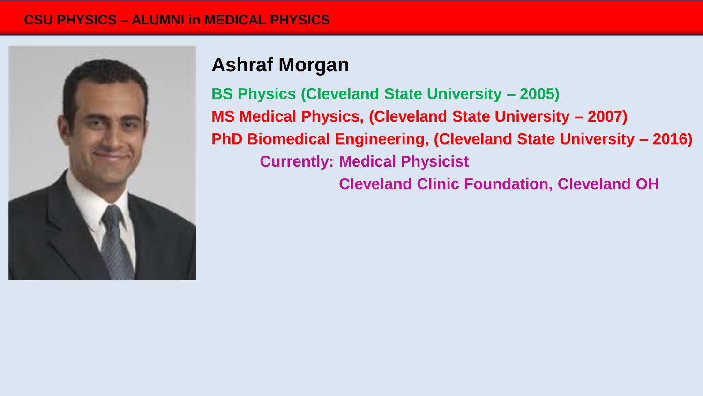#### **CSU PHYSICS – ALUMNI in MEDICAL PHYSICS**



# **Ashraf Morgan**

**BS Physics (Cleveland State University – 2005) MS Medical Physics, (Cleveland State University – 2007) PhD Biomedical Engineering, (Cleveland State University – 2016) Currently: Medical Physicist**

**Cleveland Clinic Foundation, Cleveland OH**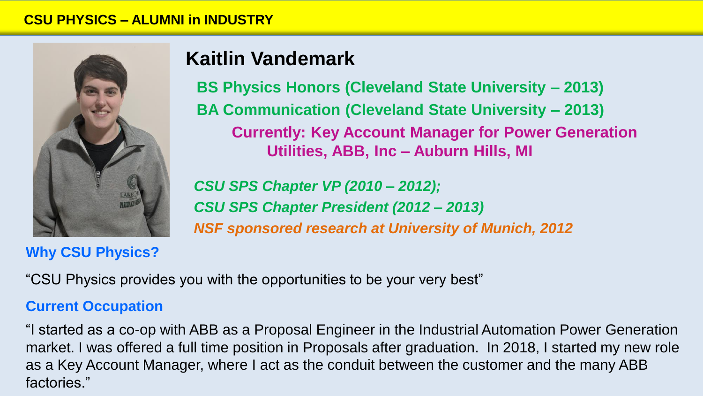

## **Why CSU Physics?**

# **Kaitlin Vandemark**

**BS Physics Honors (Cleveland State University – 2013) BA Communication (Cleveland State University – 2013) Currently: Key Account Manager for Power Generation Utilities, ABB, Inc – Auburn Hills, MI**

*CSU SPS Chapter VP (2010 – 2012); CSU SPS Chapter President (2012 – 2013) NSF sponsored research at University of Munich, 2012*

"CSU Physics provides you with the opportunities to be your very best"

## **Current Occupation**

"I started as a co-op with ABB as a Proposal Engineer in the Industrial Automation Power Generation market. I was offered a full time position in Proposals after graduation. In 2018, I started my new role as a Key Account Manager, where I act as the conduit between the customer and the many ABB factories."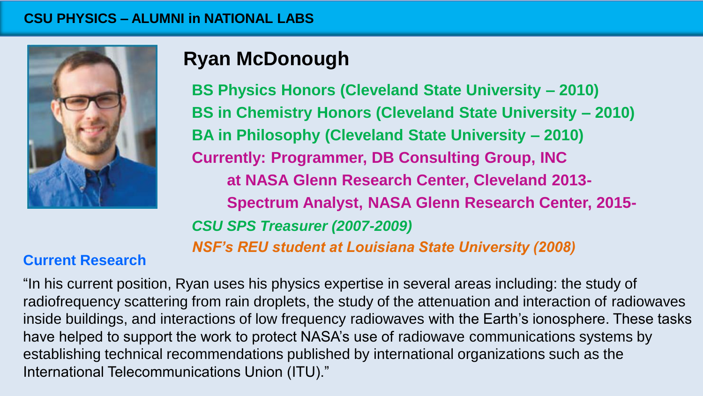#### **CSU PHYSICS – ALUMNI in National Labs CSU PHYSICS – ALUMNI in NATIONAL LABS**



# **Ryan McDonough**

**BS Physics Honors (Cleveland State University – 2010) BS in Chemistry Honors (Cleveland State University – 2010) BA in Philosophy (Cleveland State University – 2010) Currently: Programmer, DB Consulting Group, INC at NASA Glenn Research Center, Cleveland 2013- Spectrum Analyst, NASA Glenn Research Center, 2015-** *CSU SPS Treasurer (2007-2009) NSF's REU student at Louisiana State University (2008)*

## **Current Research**

"In his current position, Ryan uses his physics expertise in several areas including: the study of radiofrequency scattering from rain droplets, the study of the attenuation and interaction of radiowaves inside buildings, and interactions of low frequency radiowaves with the Earth's ionosphere. These tasks have helped to support the work to protect NASA's use of radiowave communications systems by establishing technical recommendations published by international organizations such as the International Telecommunications Union (ITU)."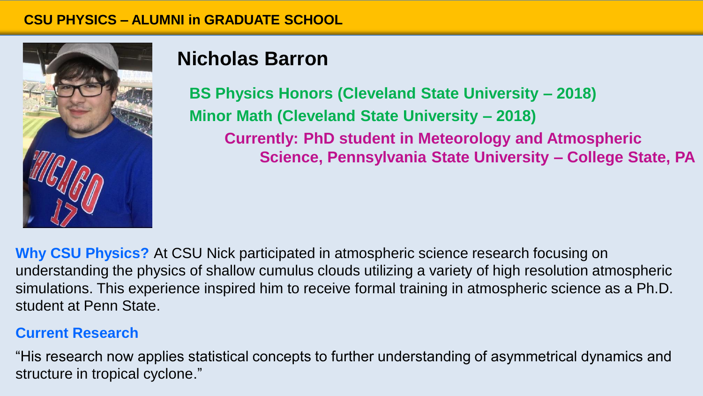

# **Nicholas Barron**

**BS Physics Honors (Cleveland State University – 2018) Minor Math (Cleveland State University – 2018) Currently: PhD student in Meteorology and Atmospheric Science, Pennsylvania State University – College State, PA** 

**Why CSU Physics?** At CSU Nick participated in atmospheric science research focusing on understanding the physics of shallow cumulus clouds utilizing a variety of high resolution atmospheric simulations. This experience inspired him to receive formal training in atmospheric science as a Ph.D. student at Penn State.

## **Current Research**

"His research now applies statistical concepts to further understanding of asymmetrical dynamics and structure in tropical cyclone."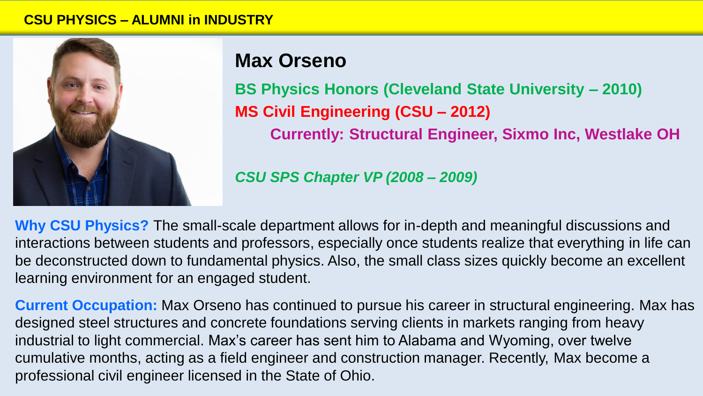

## **Max Orseno**

**BS Physics Honors (Cleveland State University – 2010) MS Civil Engineering (CSU – 2012) Currently: Structural Engineer, Sixmo Inc, Westlake OH**

*CSU SPS Chapter VP (2008 – 2009)*

**Why CSU Physics?** The small-scale department allows for in-depth and meaningful discussions and interactions between students and professors, especially once students realize that everything in life can be deconstructed down to fundamental physics. Also, the small class sizes quickly become an excellent learning environment for an engaged student.

**Current Occupation:** Max Orseno has continued to pursue his career in structural engineering. Max has designed steel structures and concrete foundations serving clients in markets ranging from heavy industrial to light commercial. Max's career has sent him to Alabama and Wyoming, over twelve cumulative months, acting as a field engineer and construction manager. Recently, Max become a professional civil engineer licensed in the State of Ohio.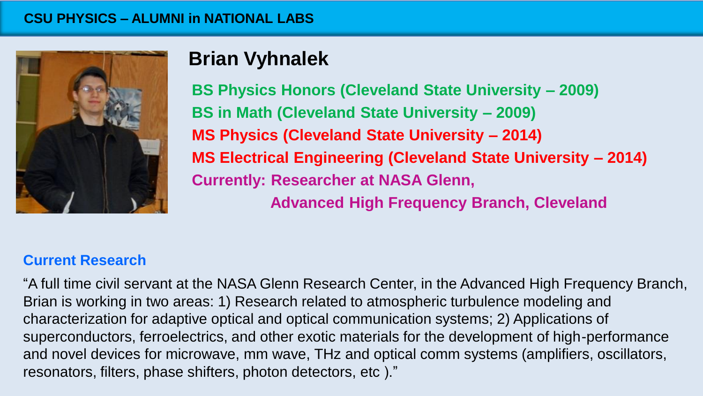

# **Brian Vyhnalek**

**BS Physics Honors (Cleveland State University – 2009) BS in Math (Cleveland State University – 2009) MS Physics (Cleveland State University – 2014) MS Electrical Engineering (Cleveland State University – 2014) Currently: Researcher at NASA Glenn, Advanced High Frequency Branch, Cleveland** 

## **Current Research**

"A full time civil servant at the NASA Glenn Research Center, in the Advanced High Frequency Branch, Brian is working in two areas: 1) Research related to atmospheric turbulence modeling and characterization for adaptive optical and optical communication systems; 2) Applications of superconductors, ferroelectrics, and other exotic materials for the development of high-performance and novel devices for microwave, mm wave, THz and optical comm systems (amplifiers, oscillators, resonators, filters, phase shifters, photon detectors, etc )."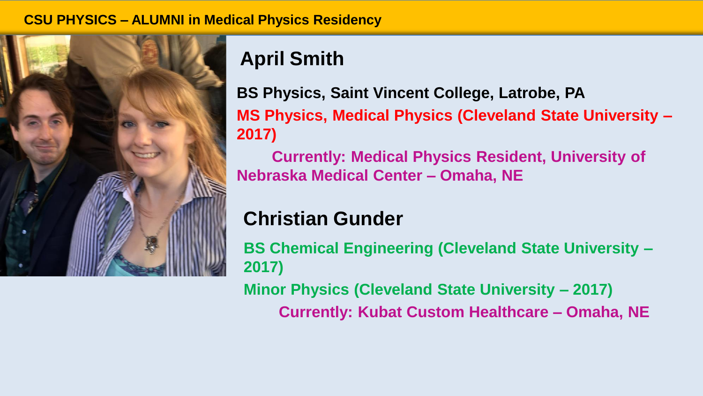#### **CSU PHYSICS – ALUMNI in Medical Physics Residency**



# **April Smith**

**BS Physics, Saint Vincent College, Latrobe, PA MS Physics, Medical Physics (Cleveland State University – 2017)**

**Currently: Medical Physics Resident, University of Nebraska Medical Center – Omaha, NE** 

# **Christian Gunder**

**BS Chemical Engineering (Cleveland State University – 2017) Minor Physics (Cleveland State University – 2017)**

**Currently: Kubat Custom Healthcare – Omaha, NE**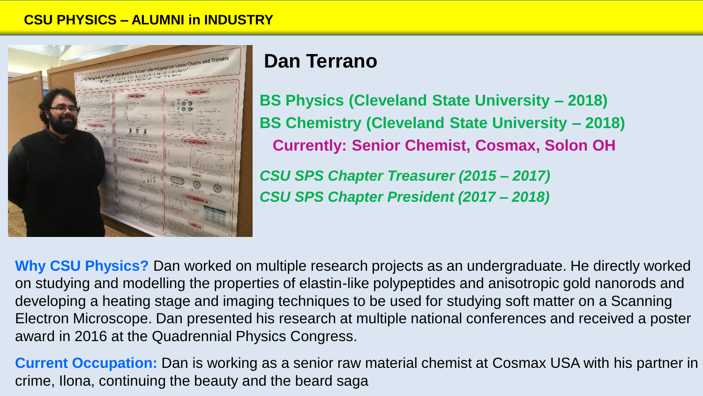

# **Dan Terrano**

**BS Physics (Cleveland State University – 2018) BS Chemistry (Cleveland State University – 2018) Currently: Senior Chemist, Cosmax, Solon OH** *CSU SPS Chapter Treasurer (2015 – 2017) CSU SPS Chapter President (2017 – 2018)*

**Why CSU Physics?** Dan worked on multiple research projects as an undergraduate. He directly worked on studying and modelling the properties of elastin-like polypeptides and anisotropic gold nanorods and developing a heating stage and imaging techniques to be used for studying soft matter on a Scanning Electron Microscope. Dan presented his research at multiple national conferences and received a poster award in 2016 at the Quadrennial Physics Congress.

**Current Occupation:** Dan is working as a senior raw material chemist at Cosmax USA with his partner in crime, Ilona, continuing the beauty and the beard saga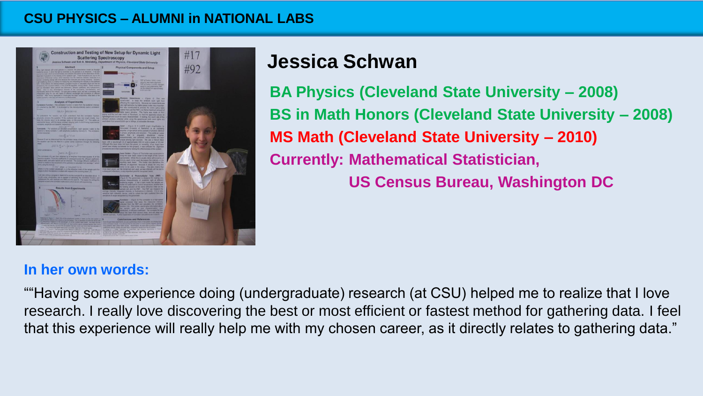#### **CSU PHYSICS – ALUMNI in National Labs CSU PHYSICS – ALUMNI in NATIONAL LABS**



# **Jessica Schwan**

**BA Physics (Cleveland State University – 2008) BS in Math Honors (Cleveland State University – 2008) MS Math (Cleveland State University – 2010) Currently: Mathematical Statistician, US Census Bureau, Washington DC** 

### **In her own words:**

""Having some experience doing (undergraduate) research (at CSU) helped me to realize that I love research. I really love discovering the best or most efficient or fastest method for gathering data. I feel that this experience will really help me with my chosen career, as it directly relates to gathering data."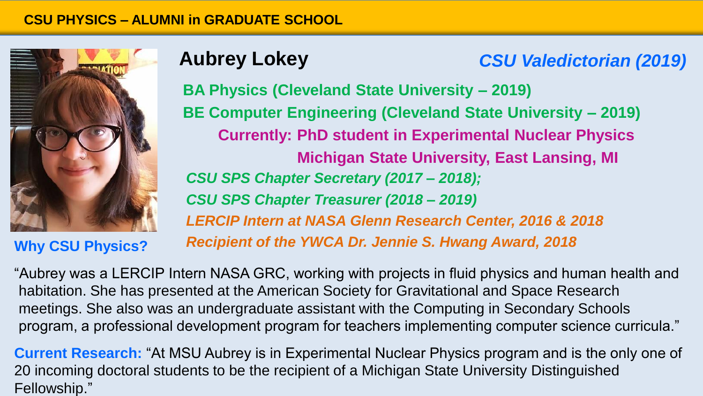

**Why CSU Physics?**

# **Aubrey Lokey**

## *CSU Valedictorian (2019)*

**BA Physics (Cleveland State University – 2019) BE Computer Engineering (Cleveland State University – 2019) Currently: PhD student in Experimental Nuclear Physics Michigan State University, East Lansing, MI** *CSU SPS Chapter Secretary (2017 – 2018); CSU SPS Chapter Treasurer (2018 – 2019) LERCIP Intern at NASA Glenn Research Center, 2016 & 2018 Recipient of the YWCA Dr. Jennie S. Hwang Award, 2018*

"Aubrey was a LERCIP Intern NASA GRC, working with projects in fluid physics and human health and habitation. She has presented at the American Society for Gravitational and Space Research meetings. She also was an undergraduate assistant with the Computing in Secondary Schools program, a professional development program for teachers implementing computer science curricula."

**Current Research:** "At MSU Aubrey is in Experimental Nuclear Physics program and is the only one of 20 incoming doctoral students to be the recipient of a Michigan State University Distinguished Fellowship."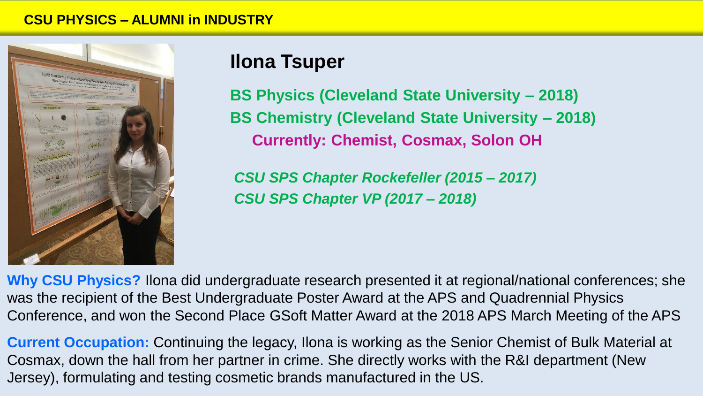

## **Ilona Tsuper**

**BS Physics (Cleveland State University – 2018) BS Chemistry (Cleveland State University – 2018) Currently: Chemist, Cosmax, Solon OH**

*CSU SPS Chapter Rockefeller (2015 – 2017) CSU SPS Chapter VP (2017 – 2018)*

**Why CSU Physics?** Ilona did undergraduate research presented it at regional/national conferences; she was the recipient of the Best Undergraduate Poster Award at the APS and Quadrennial Physics Conference, and won the Second Place GSoft Matter Award at the 2018 APS March Meeting of the APS

**Current Occupation:** Continuing the legacy, Ilona is working as the Senior Chemist of Bulk Material at Cosmax, down the hall from her partner in crime. She directly works with the R&I department (New Jersey), formulating and testing cosmetic brands manufactured in the US.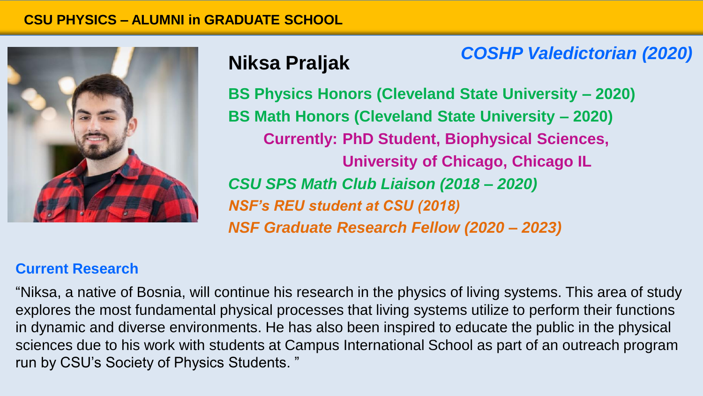

# **Niksa Praljak**

*COSHP Valedictorian (2020)*

**BS Physics Honors (Cleveland State University – 2020) BS Math Honors (Cleveland State University – 2020) Currently: PhD Student, Biophysical Sciences, University of Chicago, Chicago IL** *CSU SPS Math Club Liaison (2018 – 2020) NSF's REU student at CSU (2018) NSF Graduate Research Fellow (2020 – 2023)*

#### **Current Research**

"Niksa, a native of Bosnia, will continue his research in the physics of living systems. This area of study explores the most fundamental physical processes that living systems utilize to perform their functions in dynamic and diverse environments. He has also been inspired to educate the public in the physical sciences due to his work with students at Campus International School as part of an outreach program run by CSU's Society of Physics Students. "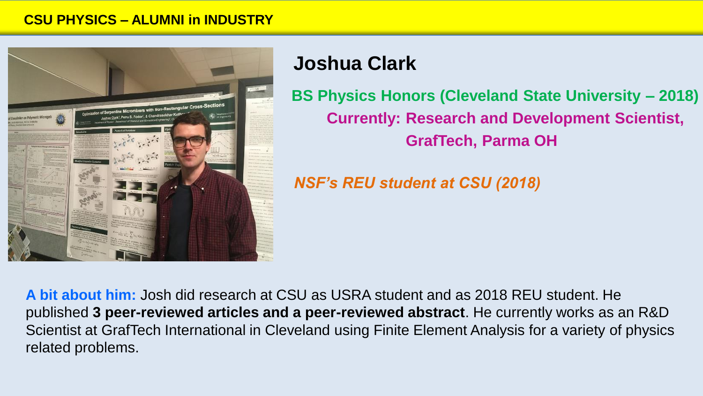

## **Joshua Clark**

**BS Physics Honors (Cleveland State University – 2018) Currently: Research and Development Scientist, GrafTech, Parma OH** 

*NSF's REU student at CSU (2018)*

**A bit about him:** Josh did research at CSU as USRA student and as 2018 REU student. He published **3 peer-reviewed articles and a peer-reviewed abstract**. He currently works as an R&D Scientist at GrafTech International in Cleveland using Finite Element Analysis for a variety of physics related problems.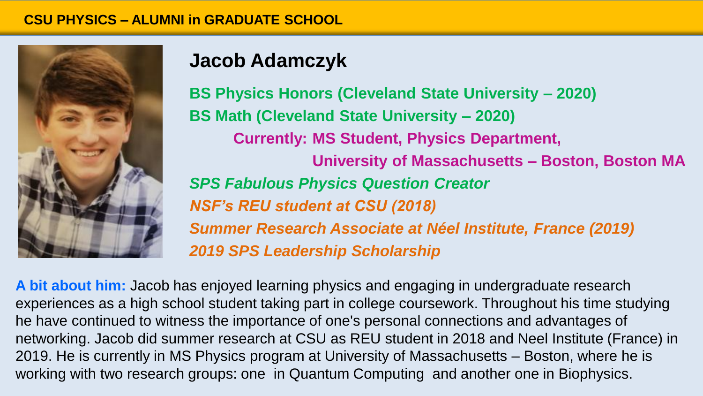

# **Jacob Adamczyk**

**BS Physics Honors (Cleveland State University – 2020) BS Math (Cleveland State University – 2020) Currently: MS Student, Physics Department, University of Massachusetts – Boston, Boston MA** *SPS Fabulous Physics Question Creator NSF's REU student at CSU (2018) Summer Research Associate at Néel Institute, France (2019) 2019 SPS Leadership Scholarship*

**A bit about him:** Jacob has enjoyed learning physics and engaging in undergraduate research experiences as a high school student taking part in college coursework. Throughout his time studying he have continued to witness the importance of one's personal connections and advantages of networking. Jacob did summer research at CSU as REU student in 2018 and Neel Institute (France) in 2019. He is currently in MS Physics program at University of Massachusetts – Boston, where he is working with two research groups: one in Quantum Computing and another one in Biophysics.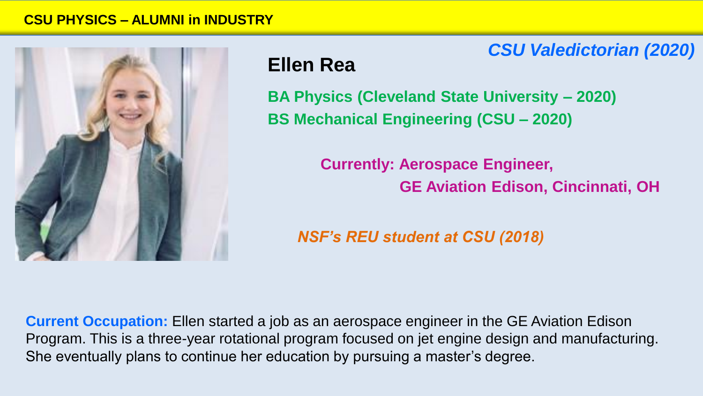

# **Ellen Rea**

**BA Physics (Cleveland State University – 2020) BS Mechanical Engineering (CSU – 2020)**

> **Currently: Aerospace Engineer, GE Aviation Edison, Cincinnati, OH**

*CSU Valedictorian (2020)*

*NSF's REU student at CSU (2018)*

**Current Occupation:** Ellen started a job as an aerospace engineer in the GE Aviation Edison Program. This is a three-year rotational program focused on jet engine design and manufacturing. She eventually plans to continue her education by pursuing a master's degree.